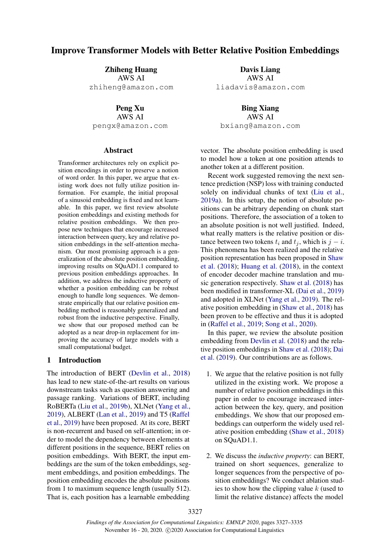# Improve Transformer Models with Better Relative Position Embeddings

Zhiheng Huang AWS AI

zhiheng@amazon.com

Peng Xu

AWS AI pengx@amazon.com

## Abstract

Transformer architectures rely on explicit position encodings in order to preserve a notion of word order. In this paper, we argue that existing work does not fully utilize position information. For example, the initial proposal of a sinusoid embedding is fixed and not learnable. In this paper, we first review absolute position embeddings and existing methods for relative position embeddings. We then propose new techniques that encourage increased interaction between query, key and relative position embeddings in the self-attention mechanism. Our most promising approach is a generalization of the absolute position embedding, improving results on SQuAD1.1 compared to previous position embeddings approaches. In addition, we address the inductive property of whether a position embedding can be robust enough to handle long sequences. We demonstrate empirically that our relative position embedding method is reasonably generalized and robust from the inductive perspective. Finally, we show that our proposed method can be adopted as a near drop-in replacement for improving the accuracy of large models with a small computational budget.

## 1 Introduction

The introduction of BERT [\(Devlin et al.,](#page-8-0) [2018\)](#page-8-0) has lead to new state-of-the-art results on various downstream tasks such as question answering and passage ranking. Variations of BERT, including RoBERTa [\(Liu et al.,](#page-8-1) [2019b\)](#page-8-1), XLNet [\(Yang et al.,](#page-8-2) [2019\)](#page-8-2), ALBERT [\(Lan et al.,](#page-8-3) [2019\)](#page-8-3) and T5 [\(Raffel](#page-8-4) [et al.,](#page-8-4) [2019\)](#page-8-4) have been proposed. At its core, BERT is non-recurrent and based on self-attention; in order to model the dependency between elements at different positions in the sequence, BERT relies on position embeddings. With BERT, the input embeddings are the sum of the token embeddings, segment embeddings, and position embeddings. The position embedding encodes the absolute positions from 1 to maximum sequence length (usually 512). That is, each position has a learnable embedding

Davis Liang AWS AI liadavis@amazon.com

> Bing Xiang AWS AI

bxiang@amazon.com

vector. The absolute position embedding is used to model how a token at one position attends to another token at a different position.

Recent work suggested removing the next sentence prediction (NSP) loss with training conducted solely on individual chunks of text [\(Liu et al.,](#page-8-5) [2019a\)](#page-8-5). In this setup, the notion of absolute positions can be arbitrary depending on chunk start positions. Therefore, the association of a token to an absolute position is not well justified. Indeed, what really matters is the relative position or distance between two tokens  $t_i$  and  $t_j$ , which is  $j - i$ . This phenomena has been realized and the relative position representation has been proposed in [Shaw](#page-8-6) [et al.](#page-8-6) [\(2018\)](#page-8-6); [Huang et al.](#page-8-7) [\(2018\)](#page-8-7), in the context of encoder decoder machine translation and music generation respectively. [Shaw et al.](#page-8-6) [\(2018\)](#page-8-6) has been modified in transformer-XL [\(Dai et al.,](#page-8-8) [2019\)](#page-8-8) and adopted in XLNet [\(Yang et al.,](#page-8-2) [2019\)](#page-8-2). The relative position embedding in [\(Shaw et al.,](#page-8-6) [2018\)](#page-8-6) has been proven to be effective and thus it is adopted in [\(Raffel et al.,](#page-8-4) [2019;](#page-8-4) [Song et al.,](#page-8-9) [2020\)](#page-8-9).

In this paper, we review the absolute position embedding from [Devlin et al.](#page-8-0) [\(2018\)](#page-8-0) and the relative position embeddings in [Shaw et al.](#page-8-6) [\(2018\)](#page-8-6); [Dai](#page-8-8) [et al.](#page-8-8) [\(2019\)](#page-8-8). Our contributions are as follows.

- 1. We argue that the relative position is not fully utilized in the existing work. We propose a number of relative position embeddings in this paper in order to encourage increased interaction between the key, query, and position embeddings. We show that our proposed embeddings can outperform the widely used relative position embedding [\(Shaw et al.,](#page-8-6) [2018\)](#page-8-6) on SQuAD1.1.
- 2. We discuss the *inductive property*: can BERT, trained on short sequences, generalize to longer sequences from the perspective of position embeddings? We conduct ablation studies to show how the clipping value  $k$  (used to limit the relative distance) affects the model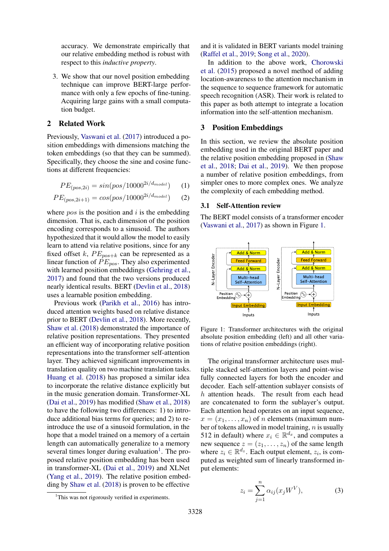accuracy. We demonstrate empirically that our relative embedding method is robust with respect to this *inductive property*.

3. We show that our novel position embedding technique can improve BERT-large performance with only a few epochs of fine-tuning. Acquiring large gains with a small computation budget.

## 2 Related Work

Previously, [Vaswani et al.](#page-8-10) [\(2017\)](#page-8-10) introduced a position embeddings with dimensions matching the token embeddings (so that they can be summed). Specifically, they choose the sine and cosine functions at different frequencies:

$$
PE_{(pos, 2i)} = \sin(pos/10000^{2i/d_{model}})
$$
 (1)

$$
PE_{(pos, 2i+1)} = \cos(pos/10000^{2i/d_{model}})
$$
 (2)

where  $pos$  is the position and i is the embedding dimension. That is, each dimension of the position encoding corresponds to a sinusoid. The authors hypothesized that it would allow the model to easily learn to attend via relative positions, since for any fixed offset k,  $PE_{pos+k}$  can be represented as a linear function of  $PE_{nos}$ . They also experimented with learned position embeddings [\(Gehring et al.,](#page-8-11) [2017\)](#page-8-11) and found that the two versions produced nearly identical results. BERT [\(Devlin et al.,](#page-8-0) [2018\)](#page-8-0) uses a learnable position embedding.

Previous work [\(Parikh et al.,](#page-8-12) [2016\)](#page-8-12) has introduced attention weights based on relative distance prior to BERT [\(Devlin et al.,](#page-8-0) [2018\)](#page-8-0). More recently, [Shaw et al.](#page-8-6) [\(2018\)](#page-8-6) demonstrated the importance of relative position representations. They presented an efficient way of incorporating relative position representations into the transformer self-attention layer. They achieved significant improvements in translation quality on two machine translation tasks. [Huang et al.](#page-8-7) [\(2018\)](#page-8-7) has proposed a similar idea to incorporate the relative distance explicitly but in the music generation domain. Transformer-XL [\(Dai et al.,](#page-8-8) [2019\)](#page-8-8) has modified [\(Shaw et al.,](#page-8-6) [2018\)](#page-8-6) to have the following two differences: 1) to introduce additional bias terms for queries; and 2) to reintroduce the use of a sinusoid formulation, in the hope that a model trained on a memory of a certain length can automatically generalize to a memory several times longer during evaluation<sup>[1](#page-1-0)</sup>. The proposed relative position embedding has been used in transformer-XL [\(Dai et al.,](#page-8-8) [2019\)](#page-8-8) and XLNet [\(Yang et al.,](#page-8-2) [2019\)](#page-8-2). The relative position embedding by [Shaw et al.](#page-8-6) [\(2018\)](#page-8-6) is proven to be effective

and it is validated in BERT variants model training [\(Raffel et al.,](#page-8-4) [2019;](#page-8-4) [Song et al.,](#page-8-9) [2020\)](#page-8-9).

In addition to the above work, [Chorowski](#page-8-13) [et al.](#page-8-13) [\(2015\)](#page-8-13) proposed a novel method of adding location-awareness to the attention mechanism in the sequence to sequence framework for automatic speech recognition (ASR). Their work is related to this paper as both attempt to integrate a location information into the self-attention mechanism.

### 3 Position Embeddings

In this section, we review the absolute position embedding used in the original BERT paper and the relative position embedding proposed in [\(Shaw](#page-8-6) [et al.,](#page-8-6) [2018;](#page-8-6) [Dai et al.,](#page-8-8) [2019\)](#page-8-8). We then propose a number of relative position embeddings, from simpler ones to more complex ones. We analyze the complexity of each embedding method.

## 3.1 Self-Attention review

The BERT model consists of a transformer encoder [\(Vaswani et al.,](#page-8-10) [2017\)](#page-8-10) as shown in Figure [1.](#page-1-1)

<span id="page-1-1"></span>

Figure 1: Transformer architectures with the original absolute position embedding (left) and all other variations of relative position embeddings (right).

The original transformer architecture uses multiple stacked self-attention layers and point-wise fully connected layers for both the encoder and decoder. Each self-attention sublayer consists of h attention heads. The result from each head are concatenated to form the sublayer's output. Each attention head operates on an input sequence,  $x = (x_1, \ldots, x_n)$  of *n* elements (maximum number of tokens allowed in model training,  $n$  is usually 512 in default) where  $x_i \in \mathbb{R}^{d_x}$ , and computes a new sequence  $z = (z_1, \ldots, z_n)$  of the same length where  $z_i \in \mathbb{R}^{d_z}$ . Each output element,  $z_i$ , is computed as weighted sum of linearly transformed input elements:

$$
z_i = \sum_{j=1}^{n} \alpha_{ij}(x_j W^V), \tag{3}
$$

<span id="page-1-0"></span><sup>&</sup>lt;sup>1</sup>This was not rigorously verified in experiments.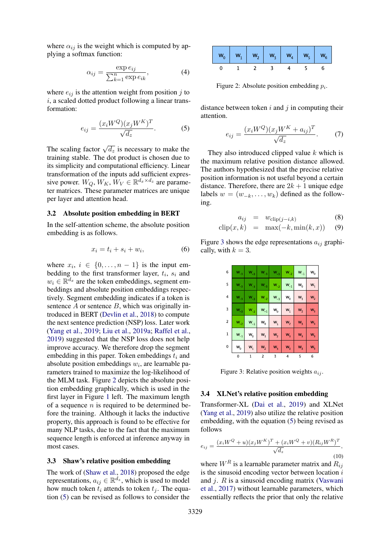where  $\alpha_{ij}$  is the weight which is computed by applying a softmax function:

$$
\alpha_{ij} = \frac{\exp e_{ij}}{\sum_{k=1}^{n} \exp e_{ik}},\tag{4}
$$

where  $e_{ij}$  is the attention weight from position j to  $i$ , a scaled dotted product following a linear transformation:

<span id="page-2-1"></span>
$$
e_{ij} = \frac{(x_i W^Q)(x_j W^K)^T}{\sqrt{d_z}}.
$$
 (5)

The scaling factor  $\sqrt{d_z}$  is necessary to make the training stable. The dot product is chosen due to its simplicity and computational efficiency. Linear transformation of the inputs add sufficient expressive power.  $W_Q$ ,  $W_K$ ,  $W_V \in \mathbb{R}^{d_x \times d_z}$  are parameter matrices. These parameter matrices are unique per layer and attention head.

### 3.2 Absolute position embedding in BERT

In the self-attention scheme, the absolute position embedding is as follows.

<span id="page-2-4"></span>
$$
x_i = t_i + s_i + w_i, \tag{6}
$$

where  $x_i$ ,  $i \in \{0, \ldots, n-1\}$  is the input embedding to the first transformer layer,  $t_i$ ,  $s_i$  and  $w_i \in \mathbb{R}^{d_x}$  are the token embeddings, segment embeddings and absolute position embeddings respectively. Segment embedding indicates if a token is sentence  $A$  or sentence  $B$ , which was originally introduced in BERT [\(Devlin et al.,](#page-8-0) [2018\)](#page-8-0) to compute the next sentence prediction (NSP) loss. Later work [\(Yang et al.,](#page-8-2) [2019;](#page-8-2) [Liu et al.,](#page-8-5) [2019a;](#page-8-5) [Raffel et al.,](#page-8-4) [2019\)](#page-8-4) suggested that the NSP loss does not help improve accuracy. We therefore drop the segment embedding in this paper. Token embeddings  $t_i$  and absolute position embeddings  $w_i$ , are learnable parameters trained to maximize the log-likelihood of the MLM task. Figure [2](#page-2-0) depicts the absolute position embedding graphically, which is used in the first layer in Figure [1](#page-1-1) left. The maximum length of a sequence  $n$  is required to be determined before the training. Although it lacks the inductive property, this approach is found to be effective for many NLP tasks, due to the fact that the maximum sequence length is enforced at inference anyway in most cases.

## 3.3 Shaw's relative position embedding

The work of [\(Shaw et al.,](#page-8-6) [2018\)](#page-8-6) proposed the edge representations,  $a_{ij} \in \mathbb{R}^{d_z}$ , which is used to model how much token  $t_i$  attends to token  $t_j$ . The equation [\(5\)](#page-2-1) can be revised as follows to consider the

<span id="page-2-0"></span>

|  |  |  | $\mathsf{w}_{0}$ $\mathsf{w}_{1}$ $\mathsf{w}_{2}$ $\mathsf{w}_{3}$ $\mathsf{w}_{4}$ $\mathsf{w}_{5}$ $\mathsf{w}_{6}$ |
|--|--|--|------------------------------------------------------------------------------------------------------------------------|
|  |  |  |                                                                                                                        |

Figure 2: Absolute position embedding  $p_i$ .

distance between token  $i$  and  $j$  in computing their attention.

$$
e_{ij} = \frac{(x_i W^Q)(x_j W^K + a_{ij})^T}{\sqrt{d_z}}.
$$
 (7)

They also introduced clipped value  $k$  which is the maximum relative position distance allowed. The authors hypothesized that the precise relative position information is not useful beyond a certain distance. Therefore, there are  $2k + 1$  unique edge labels  $w = (w_{-k}, \ldots, w_k)$  defined as the following.

<span id="page-2-5"></span>
$$
a_{ij} = w_{\text{clip}(j-i,k)} \tag{8}
$$
  
clip $(x, k) = \max(-k, \min(k, x)) \tag{9}$ 

<span id="page-2-2"></span>Figure [3](#page-2-2) shows the edge representations  $a_{ij}$  graphically, with  $k = 3$ .

| 6            | $W_{-3}$ | $W_{-3}$ | $W_{-3}$       | $W_{-3}$       | $W_{-2}$       | $W_{-1}$       | $W_0$          |
|--------------|----------|----------|----------------|----------------|----------------|----------------|----------------|
| 5            | $W_{-3}$ | $W_{-3}$ | $W_{-3}$       | $W_{-2}$       | $W_{-1}$       | $W_0$          | $W_1$          |
| 4            | $W_{-3}$ | $W_{-3}$ | $W_{-2}$       | $W_{-1}$       | $W_0$          | $W_1$          | W <sub>2</sub> |
| 3            | $W_{-3}$ | $W_{-2}$ | $W_{-1}$       | $W_0$          | $W_1$          | W <sub>2</sub> | $W_3$          |
| 2            | $W_{-2}$ | $W_{-1}$ | $W_0$          | $W_1$          | W <sub>2</sub> | $W_3$          | $W_3$          |
| $\mathbf{1}$ | $W_{-1}$ | $W_0$    | $W_1$          | W <sub>2</sub> | $W_3$          | $W_3$          | $W_3$          |
| 0            | $W_0$    | $W_1$    | W <sub>2</sub> | $W_3$          | $W_3$          | $W_3$          | $W_3$          |
|              |          |          | 2              | 3              | 4              | 5              | 6              |

Figure 3: Relative position weights  $a_{ij}$ .

## 3.4 XLNet's relative position embedding

Transformer-XL [\(Dai et al.,](#page-8-8) [2019\)](#page-8-8) and XLNet [\(Yang et al.,](#page-8-2) [2019\)](#page-8-2) also utilize the relative position embedding, with the equation [\(5\)](#page-2-1) being revised as follows

<span id="page-2-3"></span>
$$
e_{ij} = \frac{(x_i W^Q + u)(x_j W^K)^T + (x_i W^Q + v)(R_{ij} W^R)^T}{\sqrt{d_z}},
$$
\n(10)

where  $W^R$  is a learnable parameter matrix and  $R_{ij}$ is the sinusoid encoding vector between location  $i$ and  $j$ .  $R$  is a sinusoid encoding matrix [\(Vaswani](#page-8-10) [et al.,](#page-8-10) [2017\)](#page-8-10) without learnable parameters, which essentially reflects the prior that only the relative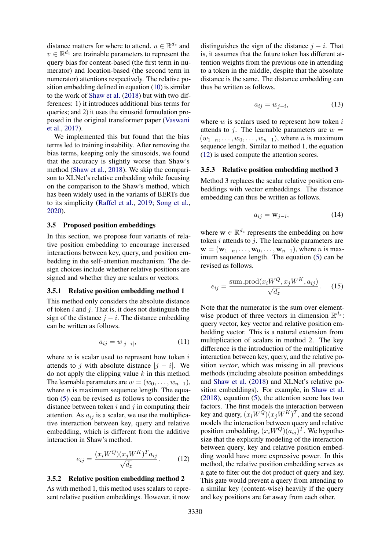distance matters for where to attend.  $u \in \mathbb{R}^{d_z}$  and  $v \in \mathbb{R}^{d_z}$  are trainable parameters to represent the query bias for content-based (the first term in numerator) and location-based (the second term in numerator) attentions respectively. The relative position embedding defined in equation [\(10\)](#page-2-3) is similar to the work of [Shaw et al.](#page-8-6) [\(2018\)](#page-8-6) but with two differences: 1) it introduces additional bias terms for queries; and 2) it uses the sinusoid formulation proposed in the original transformer paper [\(Vaswani](#page-8-10) [et al.,](#page-8-10) [2017\)](#page-8-10).

We implemented this but found that the bias terms led to training instability. After removing the bias terms, keeping only the sinusoids, we found that the accuracy is slightly worse than Shaw's method [\(Shaw et al.,](#page-8-6) [2018\)](#page-8-6). We skip the comparison to XLNet's relative embedding while focusing on the comparison to the Shaw's method, which has been widely used in the variants of BERTs due to its simplicity [\(Raffel et al.,](#page-8-4) [2019;](#page-8-4) [Song et al.,](#page-8-9) [2020\)](#page-8-9).

### 3.5 Proposed position embeddings

In this section, we propose four variants of relative position embedding to encourage increased interactions between key, query, and position embedding in the self-attention mechanism. The design choices include whether relative positions are signed and whether they are scalars or vectors.

## 3.5.1 Relative position embedding method 1

This method only considers the absolute distance of token  $i$  and  $j$ . That is, it does not distinguish the sign of the distance  $j - i$ . The distance embedding can be written as follows.

$$
a_{ij} = w_{|j-i|},\tag{11}
$$

where  $w$  is scalar used to represent how token  $i$ attends to j with absolute distance  $|j - i|$ . We do not apply the clipping value  $k$  in this method. The learnable parameters are  $w = (w_0, \ldots, w_{n-1}),$ where  $n$  is maximum sequence length. The equation [\(5\)](#page-2-1) can be revised as follows to consider the distance between token  $i$  and  $j$  in computing their attention. As  $a_{ij}$  is a scalar, we use the multiplicative interaction between key, query and relative embedding, which is different from the additive interaction in Shaw's method.

<span id="page-3-0"></span>
$$
e_{ij} = \frac{(x_i W^Q)(x_j W^K)^T a_{ij}}{\sqrt{d_z}}.
$$
 (12)

#### 3.5.2 Relative position embedding method 2

As with method 1, this method uses scalars to represent relative position embeddings. However, it now

distinguishes the sign of the distance  $j - i$ . That is, it assumes that the future token has different attention weights from the previous one in attending to a token in the middle, despite that the absolute distance is the same. The distance embedding can thus be written as follows.

$$
a_{ij} = w_{j-i}, \tag{13}
$$

where  $w$  is scalars used to represent how token  $i$ attends to *j*. The learnable parameters are  $w =$  $(w_{1-n}, \ldots, w_0, \ldots, w_{n-1})$ , where *n* is maximum sequence length. Similar to method 1, the equation [\(12\)](#page-3-0) is used compute the attention scores.

## 3.5.3 Relative position embedding method 3

Method 3 replaces the scalar relative position embeddings with vector embeddings. The distance embedding can thus be written as follows.

$$
a_{ij} = \mathbf{w}_{j-i},\tag{14}
$$

where  $\mathbf{w} \in \mathbb{R}^{d_z}$  represents the embedding on how token  $i$  attends to  $j$ . The learnable parameters are  $\mathbf{w} = (\mathbf{w}_{1-n}, \dots, \mathbf{w}_0, \dots, \mathbf{w}_{n-1}),$  where *n* is maximum sequence length. The equation [\(5\)](#page-2-1) can be revised as follows.

<span id="page-3-1"></span>
$$
e_{ij} = \frac{\text{sum\_prod}(x_i W^Q, x_j W^K, a_{ij})}{\sqrt{d_z}}.
$$
 (15)

Note that the numerator is the sum over elementwise product of three vectors in dimension  $\mathbb{R}^{d_z}$ : query vector, key vector and relative position embedding vector. This is a natural extension from multiplication of scalars in method 2. The key difference is the introduction of the multiplicative interaction between key, query, and the relative position *vector*, which was missing in all previous methods (including absolute position embeddings and [Shaw et al.](#page-8-6) [\(2018\)](#page-8-6) and XLNet's relative position embeddings). For example, in [Shaw et al.](#page-8-6)  $(2018)$ , equation  $(5)$ , the attention score has two factors. The first models the interaction between key and query,  $(x_i W^Q)(x_j W^K)^T$ , and the second models the interaction between query and relative position embedding,  $(x_i W^Q)(a_{ij})^T$ . We hypothesize that the explicitly modeling of the interaction between query, key and relative position embedding would have more expressive power. In this method, the relative position embedding serves as a gate to filter out the dot product of query and key. This gate would prevent a query from attending to a similar key (content-wise) heavily if the query and key positions are far away from each other.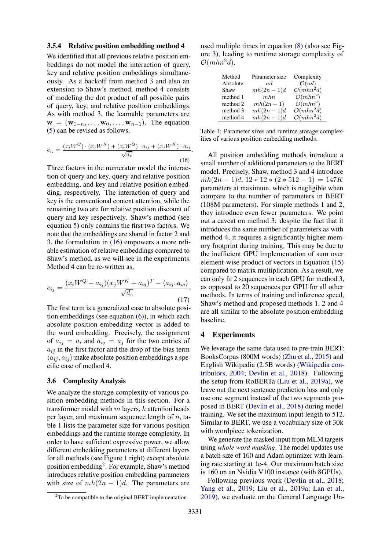## 3.5.4 Relative position embedding method 4

We identified that all previous relative position embeddings do not model the interaction of query, key and relative position embeddings simultaneously. As a backoff from method 3 and also an extension to Shaw's method, method 4 consists of modeling the dot product of all possible pairs of query, key, and relative position embeddings. As with method 3, the learnable parameters are  $\mathbf{w} = (\mathbf{w}_{1-n}, \dots, \mathbf{w}_0, \dots, \mathbf{w}_{n-1})$ . The equation [\(5\)](#page-2-1) can be revised as follows.

<span id="page-4-0"></span>
$$
e_{ij} = \frac{(x_i W^Q) \cdot (x_j W^K) + (x_i W^Q) \cdot a_{ij} + (x_j W^K) \cdot a_{ij}}{\sqrt{d_z}}.
$$
\n(16)

Three factors in the numerator model the interaction of query and key, query and relative position embedding, and key and relative position embedding, respectively. The interaction of query and key is the conventional content attention, while the remaining two are for relative position discount of query and key respectively. Shaw's method (see equation [5\)](#page-2-1) only contains the first two factors. We note that the embeddings are shared in factor 2 and 3, the formulation in [\(16\)](#page-4-0) empowers a more reliable estimation of relative embeddings compared to Shaw's method, as we will see in the experiments. Method 4 can be re-written as,

$$
e_{ij} = \frac{(x_i W^Q + a_{ij})(x_j W^K + a_{ij})^T - \langle a_{ij}, a_{ij} \rangle}{\sqrt{d_z}}.
$$
\n(17)

The first term is a generalized case to absolute position embeddings (see equation [\(6\)](#page-2-4)), in which each absolute position embedding vector is added to the word embedding. Precisely, the assignment of  $a_{ij} = a_i$  and  $a_{ij} = a_j$  for the two entries of  $a_{ij}$  in the first factor and the drop of the bias term  $\langle a_{ij}, a_{ij} \rangle$  make absolute position embeddings a specific case of method 4.

### 3.6 Complexity Analysis

We analyze the storage complexity of various position embedding methods in this section. For a transformer model with  $m$  layers,  $h$  attention heads per layer, and maximum sequence length of  $n$ , table [1](#page-4-1) lists the parameter size for various position embeddings and the runtime storage complexity. In order to have sufficient expressive power, we allow different embedding parameters at different layers for all methods (see Figure [1](#page-1-1) right) except absolute position embedding<sup>[2](#page-4-2)</sup>. For example, Shaw's method introduces relative position embedding parameters with size of  $mh(2n - 1)d$ . The parameters are

used multiple times in equation [\(8\)](#page-2-5) (also see Figure [3\)](#page-2-2), leading to runtime storage complexity of  $\mathcal{O}(mhn^2d)$ .

<span id="page-4-1"></span>

| Method   | Parameter size | Complexity            |
|----------|----------------|-----------------------|
| Absolute | nd             | $\mathcal{O}(nd)$     |
| Shaw     | $mh(2n-1)d$    | $\mathcal{O}(mhn^2d)$ |
| method 1 | mhn            | $\mathcal{O}(mhn^2)$  |
| method 2 | $mh(2n-1)$     | $\mathcal{O}(mhn^2)$  |
| method 3 | $mh(2n-1)d$    | $\mathcal{O}(mhn^2d)$ |
| method 4 | $mh(2n-1)d$    | $\mathcal{O}(mhn^2d)$ |

Table 1: Parameter sizes and runtime storage complexities of various position embedding methods.

All position embedding methods introduce a small number of additional parameters to the BERT model. Precisely, Shaw, method 3 and 4 introduce  $mh(2n-1)d$ ,  $12 * 12 * (2 * 512 - 1) = 147K$ parameters at maximum, which is negligible when compare to the number of parameters in BERT (108M parameters). For simple methods 1 and 2, they introduce even fewer parameters. We point out a caveat on method 3: despite the fact that it introduces the same number of parameters as with method 4, it requires a significantly higher memory footprint during training. This may be due to the inefficient GPU implementation of sum over element-wise product of vectors in Equation [\(15\)](#page-3-1) compared to matrix multiplication. As a result, we can only fit 2 sequences in each GPU for method 3, as opposed to 20 sequences per GPU for all other methods. In terms of training and inference speed, Shaw's method and proposed methods 1, 2 and 4 are all similar to the absolute position embedding baseline.

## 4 Experiments

We leverage the same data used to pre-train BERT: BooksCorpus (800M words) [\(Zhu et al.,](#page-8-14) [2015\)](#page-8-14) and English Wikipedia (2.5B words) [\(Wikipedia con](#page-8-15)[tributors,](#page-8-15) [2004;](#page-8-15) [Devlin et al.,](#page-8-0) [2018\)](#page-8-0). Following the setup from RoBERTa [\(Liu et al.,](#page-8-5) [2019a\)](#page-8-5), we leave out the next sentence prediction loss and only use one segment instead of the two segments proposed in BERT [\(Devlin et al.,](#page-8-0) [2018\)](#page-8-0) during model training. We set the maximum input length to 512. Similar to BERT, we use a vocabulary size of 30k with wordpiece tokenization.

We generate the masked input from MLM targets using *whole word masking*. The model updates use a batch size of 160 and Adam optimizer with learning rate starting at 1e-4. Our maximum batch size is 160 on an Nvidia V100 instance (with 8GPUs).

Following previous work [\(Devlin et al.,](#page-8-0) [2018;](#page-8-0) [Yang et al.,](#page-8-2) [2019;](#page-8-2) [Liu et al.,](#page-8-5) [2019a;](#page-8-5) [Lan et al.,](#page-8-3) [2019\)](#page-8-3), we evaluate on the General Language Un-

<span id="page-4-2"></span><sup>&</sup>lt;sup>2</sup>To be compatible to the original BERT implementation.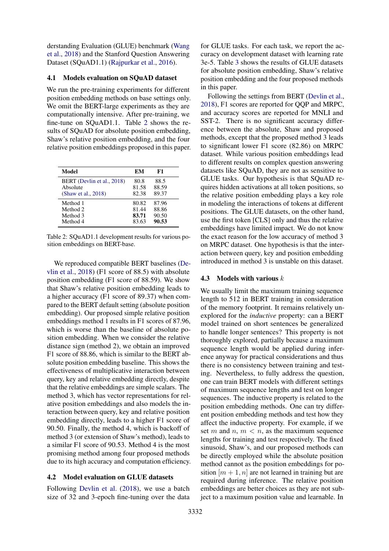derstanding Evaluation (GLUE) benchmark [\(Wang](#page-8-16) [et al.,](#page-8-16) [2018\)](#page-8-16) and the Stanford Question Answering Dataset (SQuAD1.1) [\(Rajpurkar et al.,](#page-8-17) [2016\)](#page-8-17).

## 4.1 Models evaluation on SQuAD dataset

We run the pre-training experiments for different position embedding methods on base settings only. We omit the BERT-large experiments as they are computationally intensive. After pre-training, we fine-tune on SQuAD1.1. Table [2](#page-5-0) shows the results of SQuAD for absolute position embedding, Shaw's relative position embedding, and the four relative position embeddings proposed in this paper.

<span id="page-5-0"></span>

| Model                                  | EМ            | F1            |
|----------------------------------------|---------------|---------------|
| BERT (Devlin et al., 2018)<br>Absolute | 80.8<br>81.58 | 88.5<br>88.59 |
| (Shaw et al., 2018)                    | 82.38         | 89.37         |
| Method 1                               | 80.82         | 87.96         |
| Method 2                               | 81.44         | 88.86         |
| Method 3                               | 83.71         | 90.50         |
| Method 4                               | 83.63         | 90.53         |

Table 2: SQuAD1.1 development results for various position embeddings on BERT-base.

We reproduced compatible BERT baselines [\(De](#page-8-0)[vlin et al.,](#page-8-0) [2018\)](#page-8-0) (F1 score of 88.5) with absolute position embedding (F1 score of 88.59). We show that Shaw's relative position embedding leads to a higher accuracy (F1 score of 89.37) when compared to the BERT default setting (absolute position embedding). Our proposed simple relative position embeddings method 1 results in F1 scores of 87.96, which is worse than the baseline of absolute position embedding. When we consider the relative distance sign (method 2), we obtain an improved F1 score of 88.86, which is similar to the BERT absolute position embedding baseline. This shows the effectiveness of multiplicative interaction between query, key and relative embedding directly, despite that the relative embeddings are simple scalars. The method 3, which has vector representations for relative position embeddings and also models the interaction between query, key and relative position embedding directly, leads to a higher F1 score of 90.50. Finally, the method 4, which is backoff of method 3 (or extension of Shaw's method), leads to a similar F1 score of 90.53. Method 4 is the most promising method among four proposed methods due to its high accuracy and computation efficiency.

## 4.2 Model evaluation on GLUE datasets

Following [Devlin et al.](#page-8-0) [\(2018\)](#page-8-0), we use a batch size of 32 and 3-epoch fine-tuning over the data

for GLUE tasks. For each task, we report the accuracy on development dataset with learning rate 3e-5. Table [3](#page-6-0) shows the results of GLUE datasets for absolute position embedding, Shaw's relative position embedding and the four proposed methods in this paper.

Following the settings from BERT [\(Devlin et al.,](#page-8-0) [2018\)](#page-8-0), F1 scores are reported for QQP and MRPC, and accuracy scores are reported for MNLI and SST-2. There is no significant accuracy difference between the absolute, Shaw and proposed methods, except that the proposed method 3 leads to significant lower F1 score (82.86) on MRPC dataset. While various position embeddings lead to different results on complex question answering datasets like SQuAD, they are not as sensitive to GLUE tasks. Our hypothesis is that SQuAD requires hidden activations at all token positions, so the relative position embedding plays a key role in modeling the interactions of tokens at different positions. The GLUE datasets, on the other hand, use the first token [CLS] only and thus the relative embeddings have limited impact. We do not know the exact reason for the low accuracy of method 3 on MRPC dataset. One hypothesis is that the interaction between query, key and position embedding introduced in method 3 is unstable on this dataset.

## 4.3 Models with various  $k$

We usually limit the maximum training sequence length to 512 in BERT training in consideration of the memory footprint. It remains relatively unexplored for the *inductive* property: can a BERT model trained on short sentences be generalized to handle longer sentences? This property is not thoroughly explored, partially because a maximum sequence length would be applied during inference anyway for practical considerations and thus there is no consistency between training and testing. Nevertheless, to fully address the question, one can train BERT models with different settings of maximum sequence lengths and test on longer sequences. The inductive property is related to the position embedding methods. One can try different position embedding methods and test how they affect the inductive property. For example, if we set m and n,  $m < n$ , as the maximum sequence lengths for training and test respectively. The fixed sinusoid, Shaw's, and our proposed methods can be directly employed while the absolute position method cannot as the position embeddings for position  $[m + 1, n]$  are not learned in training but are required during inference. The relative position embeddings are better choices as they are not subject to a maximum position value and learnable. In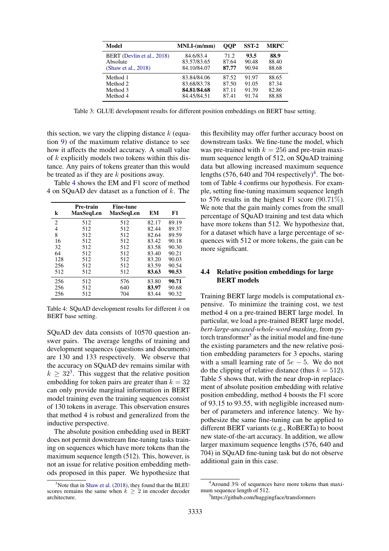<span id="page-6-0"></span>

| Model                      | $MNLI-(m/mm)$ | <b>OOP</b> | $SST-2$ | <b>MRPC</b> |
|----------------------------|---------------|------------|---------|-------------|
| BERT (Devlin et al., 2018) | 84.6/83.4     | 71.2       | 93.5    | 88.9        |
| Absolute                   | 83.57/83.65   | 87.64      | 90.48   | 88.40       |
| (Shaw et al., $2018$ )     | 84.10/84.07   | 87.77      | 90.94   | 88.68       |
| Method 1                   | 83.84/84.06   | 87.52      | 91.97   | 88.65       |
| Method 2                   | 83.68/83.78   | 87.50      | 91.05   | 87.34       |
| Method 3                   | 84.81/84.68   | 87.11      | 91.39   | 82.86       |
| Method 4                   | 84.45/84.51   | 87.41      | 91.74   | 88.88       |

Table 3: GLUE development results for different position embeddings on BERT base setting.

this section, we vary the clipping distance  $k$  (equation [9\)](#page-2-5) of the maximum relative distance to see how it affects the model accuracy. A small value of  $k$  explicitly models two tokens within this distance. Any pairs of tokens greater than this would be treated as if they are  $k$  positions away.

Table [4](#page-6-1) shows the EM and F1 score of method 4 on SOuAD dev dataset as a function of  $k$ . The

<span id="page-6-1"></span>

| k              | Pre-train<br>MaxSeqLen | <b>Fine-tune</b><br>MaxSeqLen | EM    | F1    |
|----------------|------------------------|-------------------------------|-------|-------|
| 2              | 512                    | 512                           | 82.17 | 89.19 |
| $\overline{4}$ | 512                    | 512                           | 82.44 | 89.37 |
| 8              | 512                    | 512                           | 82.64 | 89.59 |
| 16             | 512                    | 512                           | 83.42 | 90.18 |
| 32             | 512                    | 512                           | 83.58 | 90.30 |
| 64             | 512                    | 512                           | 83.40 | 90.21 |
| 128            | 512                    | 512                           | 83.20 | 90.03 |
| 256            | 512                    | 512                           | 83.59 | 90.54 |
| 512            | 512                    | 512                           | 83.63 | 90.53 |
| 256            | 512                    | 576                           | 83.80 | 90.71 |
| 256            | 512                    | 640                           | 83.97 | 90.68 |
| 256            | 512                    | 704                           | 83.44 | 90.32 |

Table 4: SQuAD development results for different  $k$  on BERT base setting.

SQuAD dev data consists of 10570 question answer pairs. The average lengths of training and development sequences (questions and documents) are 130 and 133 respectively. We observe that the accuracy on SQuAD dev remains similar with  $k \geq 32<sup>3</sup>$  $k \geq 32<sup>3</sup>$  $k \geq 32<sup>3</sup>$ . This suggest that the relative position embedding for token pairs are greater than  $k = 32$ can only provide marginal information in BERT model training even the training sequences consist of 130 tokens in average. This observation ensures that method 4 is robust and generalized from the inductive perspective.

The absolute position embedding used in BERT does not permit downstream fine-tuning tasks training on sequences which have more tokens than the maximum sequence length (512). This, however, is not an issue for relative position embedding methods proposed in this paper. We hypothesize that

this flexibility may offer further accuracy boost on downstream tasks. We fine-tune the model, which was pre-trained with  $k = 256$  and pre-train maximum sequence length of 512, on SQuAD training data but allowing increased maximum sequence lengths  $(576, 640 \text{ and } 704 \text{ respectively})^4$  $(576, 640 \text{ and } 704 \text{ respectively})^4$  $(576, 640 \text{ and } 704 \text{ respectively})^4$ . The bottom of Table [4](#page-6-1) confirms our hypothesis. For example, setting fine-tuning maximum sequence length to 576 results in the highest F1 score (90.71%). We note that the gain mainly comes from the small percentage of SQuAD training and test data which have more tokens than 512. We hypothesize that, for a dataset which have a large percentage of sequences with 512 or more tokens, the gain can be more significant.

## 4.4 Relative position embeddings for large BERT models

Training BERT large models is computational expensive. To minimize the training cost, we test method 4 on a pre-trained BERT large model. In particular, we load a pre-trained BERT large model, *bert-large-uncased-whole-word-masking*, from py-torch transformer<sup>[5](#page-6-4)</sup> as the initial model and fine-tune the existing parameters and the new relative position embedding parameters for 3 epochs, staring with a small learning rate of  $5e - 5$ . We do not do the clipping of relative distance (thus  $k = 512$ ). Table [5](#page-7-0) shows that, with the near drop-in replacement of absolute position embedding with relative position embedding, method 4 boosts the F1 score of 93.15 to 93.55, with negligible increased number of parameters and inference latency. We hypothesize the same fine-tuning can be applied to different BERT variants (e.g., RoBERTa) to boost new state-of-the-art accuracy. In addition, we allow larger maximum sequence lengths (576, 640 and 704) in SQuAD fine-tuning task but do not observe additional gain in this case.

<span id="page-6-2"></span> $3$ Note that in [Shaw et al.](#page-8-6) [\(2018\)](#page-8-6), they found that the BLEU scores remains the same when  $k \geq 2$  in encoder decoder architecture.

<span id="page-6-3"></span><sup>4</sup>Around 3% of sequences have more tokens than maximum sequence length of 512.

<span id="page-6-4"></span><sup>5</sup> https://github.com/huggingface/transformers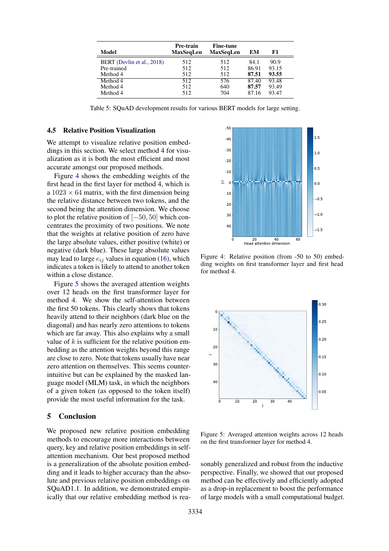<span id="page-7-0"></span>

| Model                      | Pre-train<br><b>MaxSeqLen</b> | <b>Fine-tune</b><br><b>MaxSeqLen</b> | EM    | F1    |
|----------------------------|-------------------------------|--------------------------------------|-------|-------|
| BERT (Devlin et al., 2018) | 512                           | 512                                  | 84.1  | 90.9  |
| Pre-trained                | 512                           | 512                                  | 86.91 | 93.15 |
| Method 4                   | 512                           | 512                                  | 87.51 | 93.55 |
| Method 4                   | 512                           | 576                                  | 87.40 | 93.48 |
| Method 4                   | 512                           | 640                                  | 87.57 | 93.49 |
| Method 4                   | 512                           | 704                                  | 87.16 | 93.47 |

Table 5: SQuAD development results for various BERT models for large setting.

### 4.5 Relative Position Visualization

We attempt to visualize relative position embeddings in this section. We select method 4 for visualization as it is both the most efficient and most accurate amongst our proposed methods.

Figure [4](#page-7-1) shows the embedding weights of the first head in the first layer for method 4, which is a  $1023 \times 64$  matrix, with the first dimension being the relative distance between two tokens, and the second being the attention dimension. We choose to plot the relative position of [−50, 50] which concentrates the proximity of two positions. We note that the weights at relative position of zero have the large absolute values, either positive (white) or negative (dark blue). These large absolute values may lead to large  $e_{ij}$  values in equation [\(16\)](#page-4-0), which indicates a token is likely to attend to another token within a close distance.

Figure [5](#page-7-2) shows the averaged attention weights over 12 heads on the first transformer layer for method 4. We show the self-attention between the first 50 tokens. This clearly shows that tokens heavily attend to their neighbors (dark blue on the diagonal) and has nearly zero attentions to tokens which are far away. This also explains why a small value of  $k$  is sufficient for the relative position embedding as the attention weights beyond this range are close to zero. Note that tokens usually have near zero attention on themselves. This seems counterintuitive but can be explained by the masked language model (MLM) task, in which the neighbors of a given token (as opposed to the token itself) provide the most useful information for the task.

### 5 Conclusion

We proposed new relative position embedding methods to encourage more interactions between query, key and relative position embeddings in selfattention mechanism. Our best proposed method is a generalization of the absolute position embedding and it leads to higher accuracy than the absolute and previous relative position embeddings on SQuAD1.1. In addition, we demonstrated empirically that our relative embedding method is rea-

<span id="page-7-1"></span>

Figure 4: Relative position (from -50 to 50) embedding weights on first transformer layer and first head for method 4.

<span id="page-7-2"></span>

Figure 5: Averaged attention weights across 12 heads on the first transformer layer for method 4.

sonably generalized and robust from the inductive perspective. Finally, we showed that our proposed method can be effectively and efficiently adopted as a drop-in replacement to boost the performance of large models with a small computational budget.